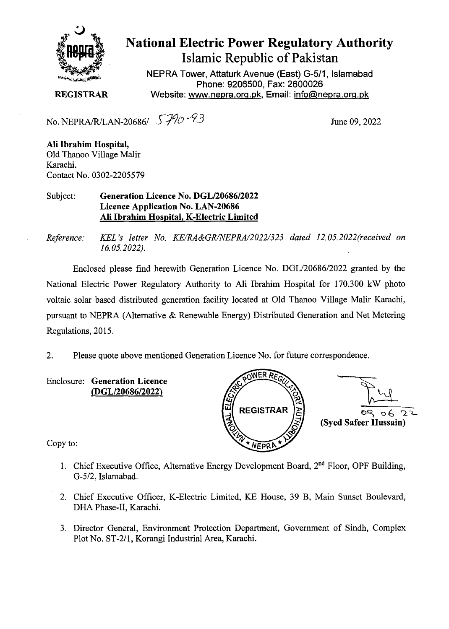

## **National Electric Power Regulatory Authority Islamic Republic of Pakistan**

**NEPRA Tower, Attaturk Avenue (East) G-511, Islamabad Phone: 9206500, Fax: 2600026 REGISTRAR** Website: www.nepra.org.pk, Email: info@nepra.org.pk

No. NEPRAfRJLAN-20686/ S7') *93* 

June 09, 2022

**Ali Ibrahim Hospital,** Old Thanoo Village Malir Karachi. Contact No. 0302-2205579

Subject: **Generation Licence No.** *DGL12068612022*  **Licence Application No. LAN-20686 Ali Ibrahim Hospital, K-Electric Limited** 

*Reference: KEL 's letter No. KE/RA&GR/NEPRA/2022/323 dated 12.05. 2022(received on 16.05.2022).* 

Enclosed please find herewith Generation Licence No. DGL/20686/2022 granted by the National Electric Power Regulatory Authority to Ali Ibrahim Hospital for 170.300 kW photo voltaic solar based distributed generation facility located at Old Thanoo Village Malir Karachi, pursuant to NEPRA (Alternative & Renewable Energy) Distributed Generation and Net Metering Regulations, 2015.

2. Please quote above mentioned Generation Licence No. for future correspondence.

**Enclosure: Generation Licence**  *(DGL12068612022)* 



Copy to:

- 1. Chief Executive Office, Alternative Energy Development Board,  $2<sup>nd</sup>$  Floor, OPF Building, *G-512,* Islamabad.
- 2. Chief Executive Officer, K-Electric Limited, KE House, 39 B, Main Sunset Boulevard, DHA Phase-II, Karachi.
- 3. Director General, Environment Protection Department, Government of Sindh, Complex Plot No. ST-2/1, Korangi Industrial Area, Karachi.